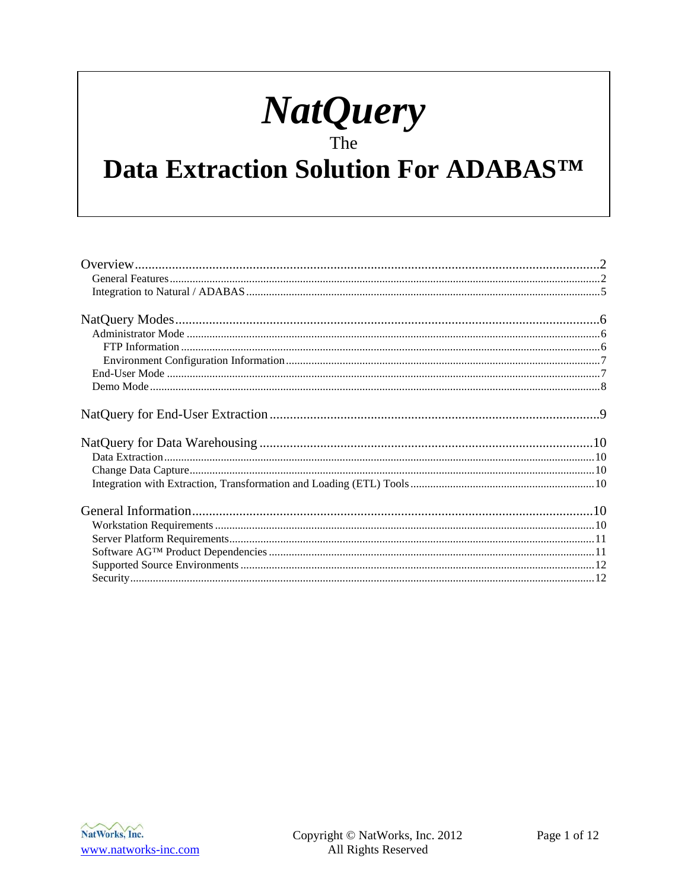# NatQuery

# Data Extraction Solution For ADABASTM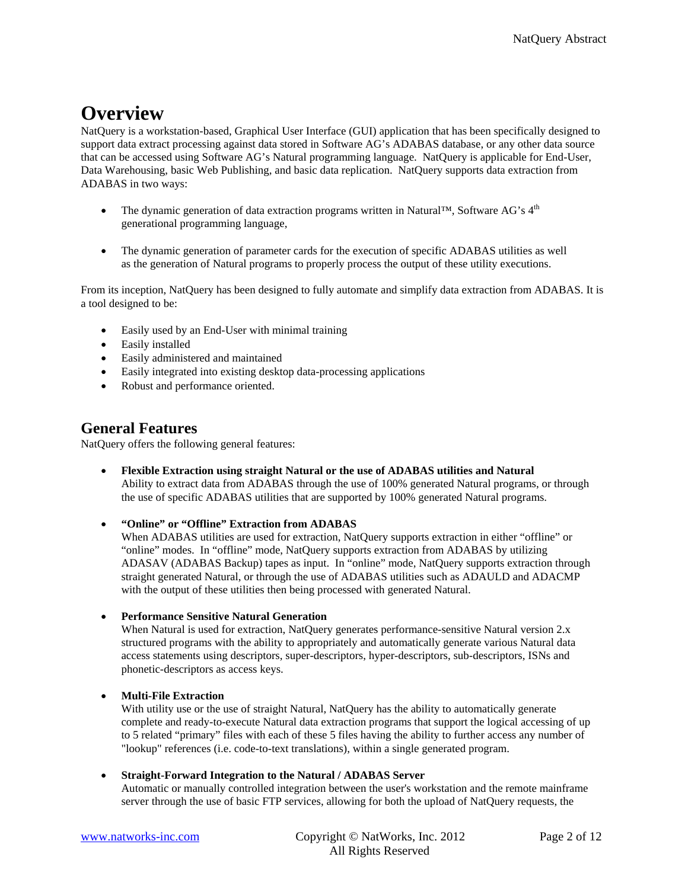# <span id="page-1-0"></span>**Overview**

NatQuery is a workstation-based, Graphical User Interface (GUI) application that has been specifically designed to support data extract processing against data stored in Software AG's ADABAS database, or any other data source that can be accessed using Software AG's Natural programming language. NatQuery is applicable for End-User, Data Warehousing, basic Web Publishing, and basic data replication. NatQuery supports data extraction from ADABAS in two ways:

- The dynamic generation of data extraction programs written in Natural™, Software AG's  $4<sup>th</sup>$ generational programming language,
- The dynamic generation of parameter cards for the execution of specific ADABAS utilities as well as the generation of Natural programs to properly process the output of these utility executions.

From its inception, NatQuery has been designed to fully automate and simplify data extraction from ADABAS. It is a tool designed to be:

- Easily used by an End-User with minimal training
- Easily installed
- Easily administered and maintained
- Easily integrated into existing desktop data-processing applications
- Robust and performance oriented.

## **General Features**

NatQuery offers the following general features:

• **Flexible Extraction using straight Natural or the use of ADABAS utilities and Natural** Ability to extract data from ADABAS through the use of 100% generated Natural programs, or through the use of specific ADABAS utilities that are supported by 100% generated Natural programs.

#### • **"Online" or "Offline" Extraction from ADABAS**

When ADABAS utilities are used for extraction, NatQuery supports extraction in either "offline" or "online" modes. In "offline" mode, NatQuery supports extraction from ADABAS by utilizing ADASAV (ADABAS Backup) tapes as input. In "online" mode, NatQuery supports extraction through straight generated Natural, or through the use of ADABAS utilities such as ADAULD and ADACMP with the output of these utilities then being processed with generated Natural.

• **Performance Sensitive Natural Generation**

When Natural is used for extraction, NatQuery generates performance-sensitive Natural version 2.x structured programs with the ability to appropriately and automatically generate various Natural data access statements using descriptors, super-descriptors, hyper-descriptors, sub-descriptors, ISNs and phonetic-descriptors as access keys.

#### • **Multi-File Extraction**

With utility use or the use of straight Natural, NatQuery has the ability to automatically generate complete and ready-to-execute Natural data extraction programs that support the logical accessing of up to 5 related "primary" files with each of these 5 files having the ability to further access any number of "lookup" references (i.e. code-to-text translations), within a single generated program.

#### • **Straight-Forward Integration to the Natural / ADABAS Server**

Automatic or manually controlled integration between the user's workstation and the remote mainframe server through the use of basic FTP services, allowing for both the upload of NatQuery requests, the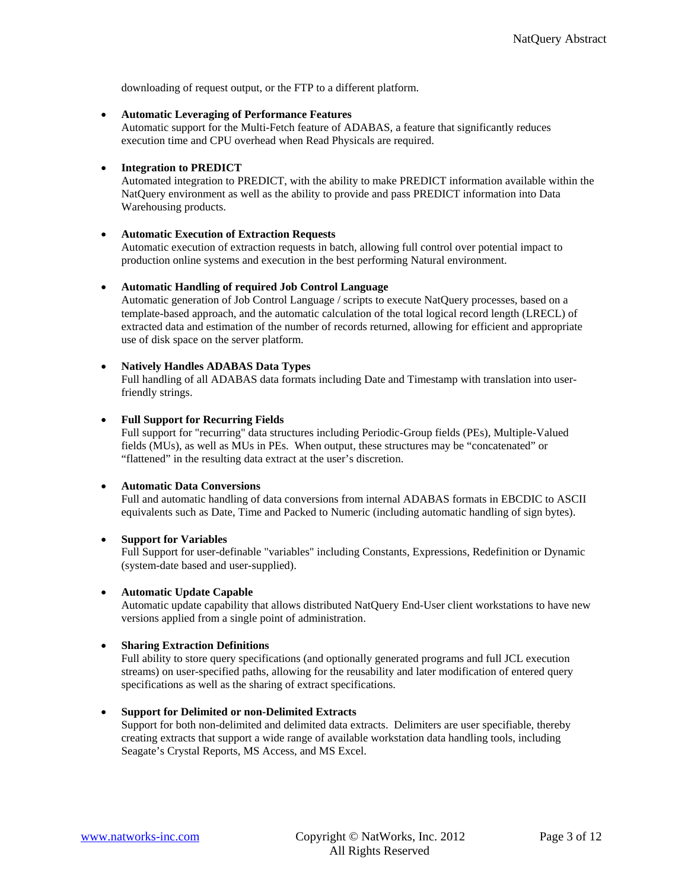downloading of request output, or the FTP to a different platform.

#### • **Automatic Leveraging of Performance Features**

Automatic support for the Multi-Fetch feature of ADABAS, a feature that significantly reduces execution time and CPU overhead when Read Physicals are required.

#### • **Integration to PREDICT**

Automated integration to PREDICT, with the ability to make PREDICT information available within the NatQuery environment as well as the ability to provide and pass PREDICT information into Data Warehousing products.

#### • **Automatic Execution of Extraction Requests**

Automatic execution of extraction requests in batch, allowing full control over potential impact to production online systems and execution in the best performing Natural environment.

#### • **Automatic Handling of required Job Control Language**

Automatic generation of Job Control Language / scripts to execute NatQuery processes, based on a template-based approach, and the automatic calculation of the total logical record length (LRECL) of extracted data and estimation of the number of records returned, allowing for efficient and appropriate use of disk space on the server platform.

#### • **Natively Handles ADABAS Data Types**

Full handling of all ADABAS data formats including Date and Timestamp with translation into userfriendly strings.

#### • **Full Support for Recurring Fields**

Full support for "recurring" data structures including Periodic-Group fields (PEs), Multiple-Valued fields (MUs), as well as MUs in PEs. When output, these structures may be "concatenated" or "flattened" in the resulting data extract at the user's discretion.

#### • **Automatic Data Conversions**

Full and automatic handling of data conversions from internal ADABAS formats in EBCDIC to ASCII equivalents such as Date, Time and Packed to Numeric (including automatic handling of sign bytes).

#### • **Support for Variables**

Full Support for user-definable "variables" including Constants, Expressions, Redefinition or Dynamic (system-date based and user-supplied).

#### • **Automatic Update Capable**

Automatic update capability that allows distributed NatQuery End-User client workstations to have new versions applied from a single point of administration.

#### • **Sharing Extraction Definitions**

Full ability to store query specifications (and optionally generated programs and full JCL execution streams) on user-specified paths, allowing for the reusability and later modification of entered query specifications as well as the sharing of extract specifications.

#### • **Support for Delimited or non-Delimited Extracts**

Support for both non-delimited and delimited data extracts. Delimiters are user specifiable, thereby creating extracts that support a wide range of available workstation data handling tools, including Seagate's Crystal Reports, MS Access, and MS Excel.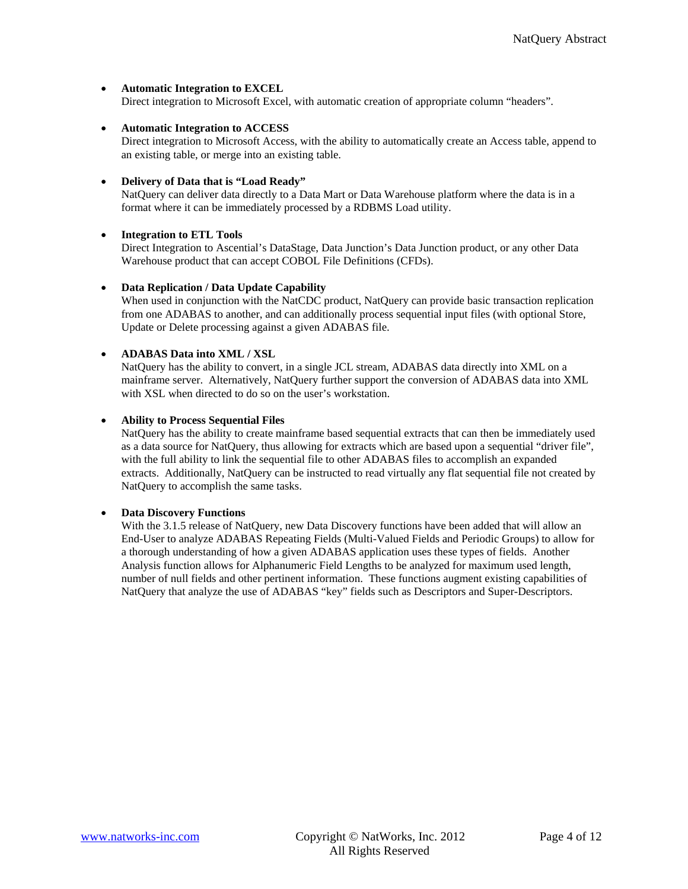#### • **Automatic Integration to EXCEL**

Direct integration to Microsoft Excel, with automatic creation of appropriate column "headers".

#### • **Automatic Integration to ACCESS**

Direct integration to Microsoft Access, with the ability to automatically create an Access table, append to an existing table, or merge into an existing table.

#### • **Delivery of Data that is "Load Ready"**

NatQuery can deliver data directly to a Data Mart or Data Warehouse platform where the data is in a format where it can be immediately processed by a RDBMS Load utility.

#### • **Integration to ETL Tools**

Direct Integration to Ascential's DataStage, Data Junction's Data Junction product, or any other Data Warehouse product that can accept COBOL File Definitions (CFDs).

#### • **Data Replication / Data Update Capability**

When used in conjunction with the NatCDC product, NatQuery can provide basic transaction replication from one ADABAS to another, and can additionally process sequential input files (with optional Store, Update or Delete processing against a given ADABAS file.

#### • **ADABAS Data into XML / XSL**

NatQuery has the ability to convert, in a single JCL stream, ADABAS data directly into XML on a mainframe server. Alternatively, NatQuery further support the conversion of ADABAS data into XML with XSL when directed to do so on the user's workstation.

#### • **Ability to Process Sequential Files**

NatQuery has the ability to create mainframe based sequential extracts that can then be immediately used as a data source for NatQuery, thus allowing for extracts which are based upon a sequential "driver file", with the full ability to link the sequential file to other ADABAS files to accomplish an expanded extracts. Additionally, NatQuery can be instructed to read virtually any flat sequential file not created by NatQuery to accomplish the same tasks.

#### • **Data Discovery Functions**

With the 3.1.5 release of NatQuery, new Data Discovery functions have been added that will allow an End-User to analyze ADABAS Repeating Fields (Multi-Valued Fields and Periodic Groups) to allow for a thorough understanding of how a given ADABAS application uses these types of fields. Another Analysis function allows for Alphanumeric Field Lengths to be analyzed for maximum used length, number of null fields and other pertinent information. These functions augment existing capabilities of NatQuery that analyze the use of ADABAS "key" fields such as Descriptors and Super-Descriptors.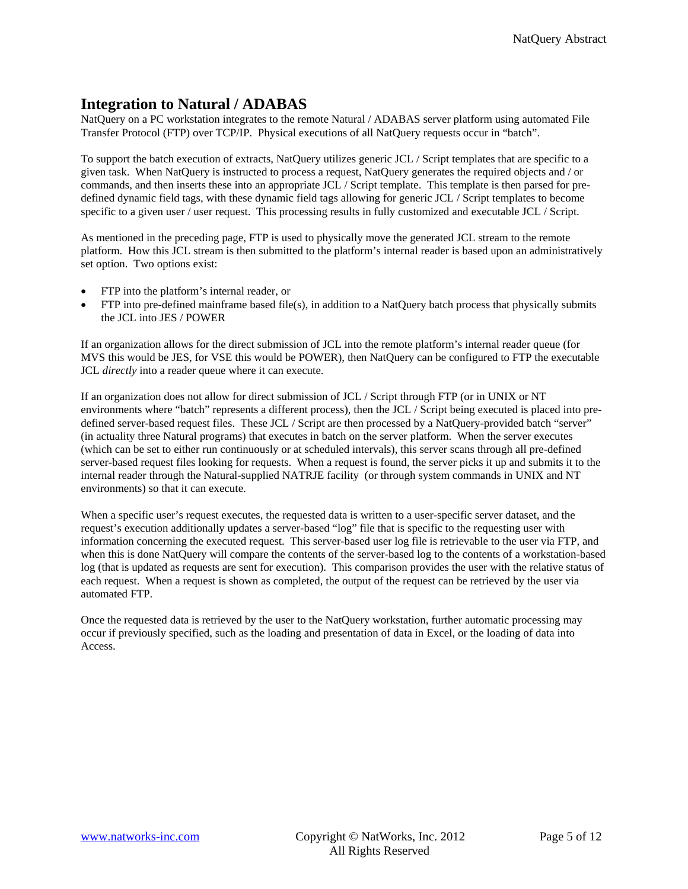# <span id="page-4-0"></span>**Integration to Natural / ADABAS**

NatQuery on a PC workstation integrates to the remote Natural / ADABAS server platform using automated File Transfer Protocol (FTP) over TCP/IP. Physical executions of all NatQuery requests occur in "batch".

To support the batch execution of extracts, NatQuery utilizes generic JCL / Script templates that are specific to a given task. When NatQuery is instructed to process a request, NatQuery generates the required objects and / or commands, and then inserts these into an appropriate JCL / Script template. This template is then parsed for predefined dynamic field tags, with these dynamic field tags allowing for generic JCL / Script templates to become specific to a given user / user request. This processing results in fully customized and executable JCL / Script.

As mentioned in the preceding page, FTP is used to physically move the generated JCL stream to the remote platform. How this JCL stream is then submitted to the platform's internal reader is based upon an administratively set option. Two options exist:

- FTP into the platform's internal reader, or
- FTP into pre-defined mainframe based file(s), in addition to a NatQuery batch process that physically submits the JCL into JES / POWER

If an organization allows for the direct submission of JCL into the remote platform's internal reader queue (for MVS this would be JES, for VSE this would be POWER), then NatQuery can be configured to FTP the executable JCL *directly* into a reader queue where it can execute.

If an organization does not allow for direct submission of JCL / Script through FTP (or in UNIX or NT environments where "batch" represents a different process), then the JCL / Script being executed is placed into predefined server-based request files. These JCL / Script are then processed by a NatQuery-provided batch "server" (in actuality three Natural programs) that executes in batch on the server platform. When the server executes (which can be set to either run continuously or at scheduled intervals), this server scans through all pre-defined server-based request files looking for requests. When a request is found, the server picks it up and submits it to the internal reader through the Natural-supplied NATRJE facility (or through system commands in UNIX and NT environments) so that it can execute.

When a specific user's request executes, the requested data is written to a user-specific server dataset, and the request's execution additionally updates a server-based "log" file that is specific to the requesting user with information concerning the executed request. This server-based user log file is retrievable to the user via FTP, and when this is done NatQuery will compare the contents of the server-based log to the contents of a workstation-based log (that is updated as requests are sent for execution). This comparison provides the user with the relative status of each request. When a request is shown as completed, the output of the request can be retrieved by the user via automated FTP.

Once the requested data is retrieved by the user to the NatQuery workstation, further automatic processing may occur if previously specified, such as the loading and presentation of data in Excel, or the loading of data into Access.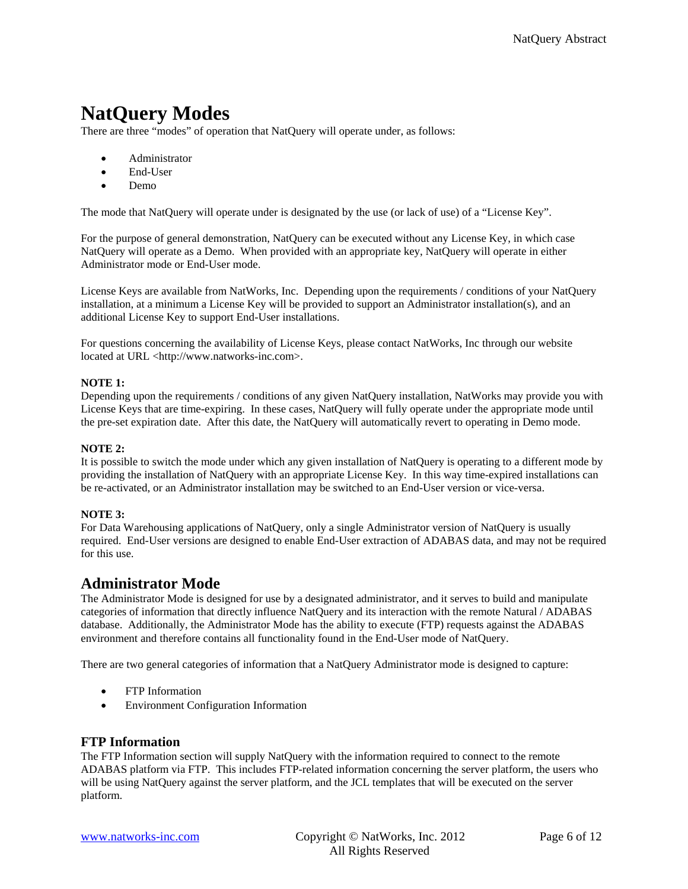# <span id="page-5-0"></span>**NatQuery Modes**

There are three "modes" of operation that NatQuery will operate under, as follows:

- Administrator
- End-User
- Demo

The mode that NatQuery will operate under is designated by the use (or lack of use) of a "License Key".

For the purpose of general demonstration, NatQuery can be executed without any License Key, in which case NatQuery will operate as a Demo. When provided with an appropriate key, NatQuery will operate in either Administrator mode or End-User mode.

License Keys are available from NatWorks, Inc. Depending upon the requirements / conditions of your NatQuery installation, at a minimum a License Key will be provided to support an Administrator installation(s), and an additional License Key to support End-User installations.

For questions concerning the availability of License Keys, please contact NatWorks, Inc through our website located at URL <http://www.natworks-inc.com>.

#### **NOTE 1:**

Depending upon the requirements / conditions of any given NatQuery installation, NatWorks may provide you with License Keys that are time-expiring. In these cases, NatQuery will fully operate under the appropriate mode until the pre-set expiration date. After this date, the NatQuery will automatically revert to operating in Demo mode.

#### **NOTE 2:**

It is possible to switch the mode under which any given installation of NatQuery is operating to a different mode by providing the installation of NatQuery with an appropriate License Key. In this way time-expired installations can be re-activated, or an Administrator installation may be switched to an End-User version or vice-versa.

#### **NOTE 3:**

For Data Warehousing applications of NatQuery, only a single Administrator version of NatQuery is usually required. End-User versions are designed to enable End-User extraction of ADABAS data, and may not be required for this use.

## **Administrator Mode**

The Administrator Mode is designed for use by a designated administrator, and it serves to build and manipulate categories of information that directly influence NatQuery and its interaction with the remote Natural / ADABAS database. Additionally, the Administrator Mode has the ability to execute (FTP) requests against the ADABAS environment and therefore contains all functionality found in the End-User mode of NatQuery.

There are two general categories of information that a NatQuery Administrator mode is designed to capture:

- FTP Information
- Environment Configuration Information

#### **FTP Information**

The FTP Information section will supply NatQuery with the information required to connect to the remote ADABAS platform via FTP. This includes FTP-related information concerning the server platform, the users who will be using NatQuery against the server platform, and the JCL templates that will be executed on the server platform.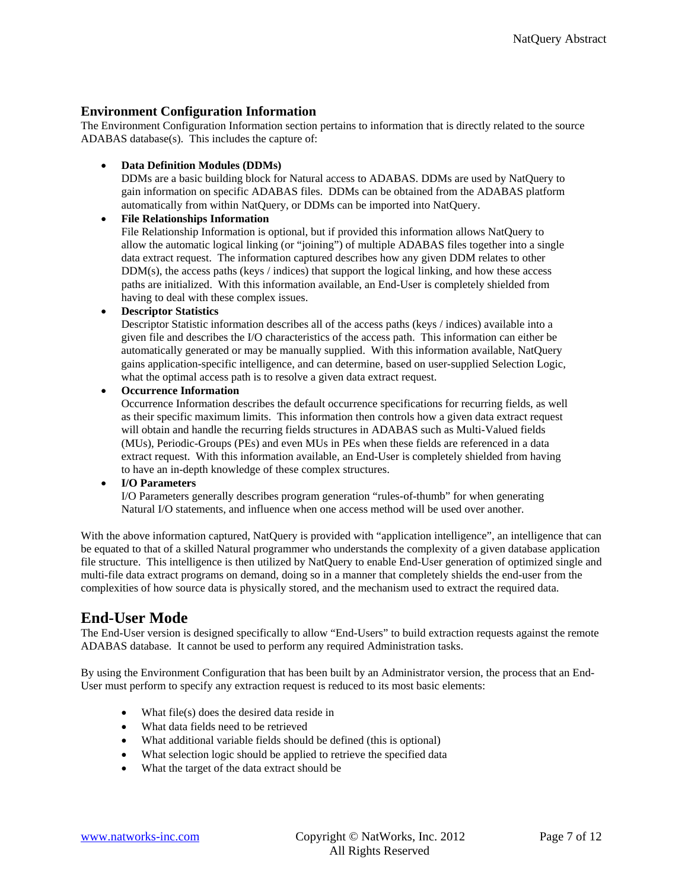### <span id="page-6-0"></span>**Environment Configuration Information**

The Environment Configuration Information section pertains to information that is directly related to the source ADABAS database(s). This includes the capture of:

• **Data Definition Modules (DDMs)**

DDMs are a basic building block for Natural access to ADABAS. DDMs are used by NatQuery to gain information on specific ADABAS files. DDMs can be obtained from the ADABAS platform automatically from within NatQuery, or DDMs can be imported into NatQuery.

#### • **File Relationships Information**

File Relationship Information is optional, but if provided this information allows NatQuery to allow the automatic logical linking (or "joining") of multiple ADABAS files together into a single data extract request. The information captured describes how any given DDM relates to other DDM(s), the access paths (keys / indices) that support the logical linking, and how these access paths are initialized. With this information available, an End-User is completely shielded from having to deal with these complex issues.

#### • **Descriptor Statistics**

Descriptor Statistic information describes all of the access paths (keys / indices) available into a given file and describes the I/O characteristics of the access path. This information can either be automatically generated or may be manually supplied. With this information available, NatQuery gains application-specific intelligence, and can determine, based on user-supplied Selection Logic, what the optimal access path is to resolve a given data extract request.

#### • **Occurrence Information**

Occurrence Information describes the default occurrence specifications for recurring fields, as well as their specific maximum limits. This information then controls how a given data extract request will obtain and handle the recurring fields structures in ADABAS such as Multi-Valued fields (MUs), Periodic-Groups (PEs) and even MUs in PEs when these fields are referenced in a data extract request. With this information available, an End-User is completely shielded from having to have an in-depth knowledge of these complex structures.

#### • **I/O Parameters**

I/O Parameters generally describes program generation "rules-of-thumb" for when generating Natural I/O statements, and influence when one access method will be used over another.

With the above information captured, NatQuery is provided with "application intelligence", an intelligence that can be equated to that of a skilled Natural programmer who understands the complexity of a given database application file structure. This intelligence is then utilized by NatQuery to enable End-User generation of optimized single and multi-file data extract programs on demand, doing so in a manner that completely shields the end-user from the complexities of how source data is physically stored, and the mechanism used to extract the required data.

## **End-User Mode**

The End-User version is designed specifically to allow "End-Users" to build extraction requests against the remote ADABAS database. It cannot be used to perform any required Administration tasks.

By using the Environment Configuration that has been built by an Administrator version, the process that an End-User must perform to specify any extraction request is reduced to its most basic elements:

- What file(s) does the desired data reside in
- What data fields need to be retrieved
- What additional variable fields should be defined (this is optional)
- What selection logic should be applied to retrieve the specified data
- What the target of the data extract should be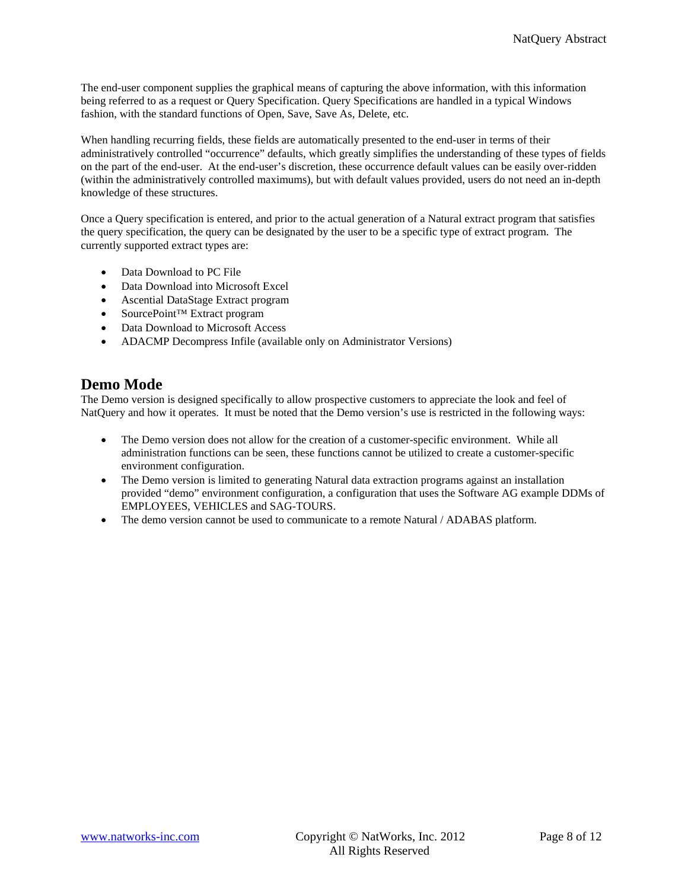<span id="page-7-0"></span>The end-user component supplies the graphical means of capturing the above information, with this information being referred to as a request or Query Specification. Query Specifications are handled in a typical Windows fashion, with the standard functions of Open, Save, Save As, Delete, etc.

When handling recurring fields, these fields are automatically presented to the end-user in terms of their administratively controlled "occurrence" defaults, which greatly simplifies the understanding of these types of fields on the part of the end-user. At the end-user's discretion, these occurrence default values can be easily over-ridden (within the administratively controlled maximums), but with default values provided, users do not need an in-depth knowledge of these structures.

Once a Query specification is entered, and prior to the actual generation of a Natural extract program that satisfies the query specification, the query can be designated by the user to be a specific type of extract program. The currently supported extract types are:

- Data Download to PC File
- Data Download into Microsoft Excel
- Ascential DataStage Extract program
- SourcePoint™ Extract program
- Data Download to Microsoft Access
- ADACMP Decompress Infile (available only on Administrator Versions)

# **Demo Mode**

The Demo version is designed specifically to allow prospective customers to appreciate the look and feel of NatQuery and how it operates. It must be noted that the Demo version's use is restricted in the following ways:

- The Demo version does not allow for the creation of a customer-specific environment. While all administration functions can be seen, these functions cannot be utilized to create a customer-specific environment configuration.
- The Demo version is limited to generating Natural data extraction programs against an installation provided "demo" environment configuration, a configuration that uses the Software AG example DDMs of EMPLOYEES, VEHICLES and SAG-TOURS.
- The demo version cannot be used to communicate to a remote Natural / ADABAS platform.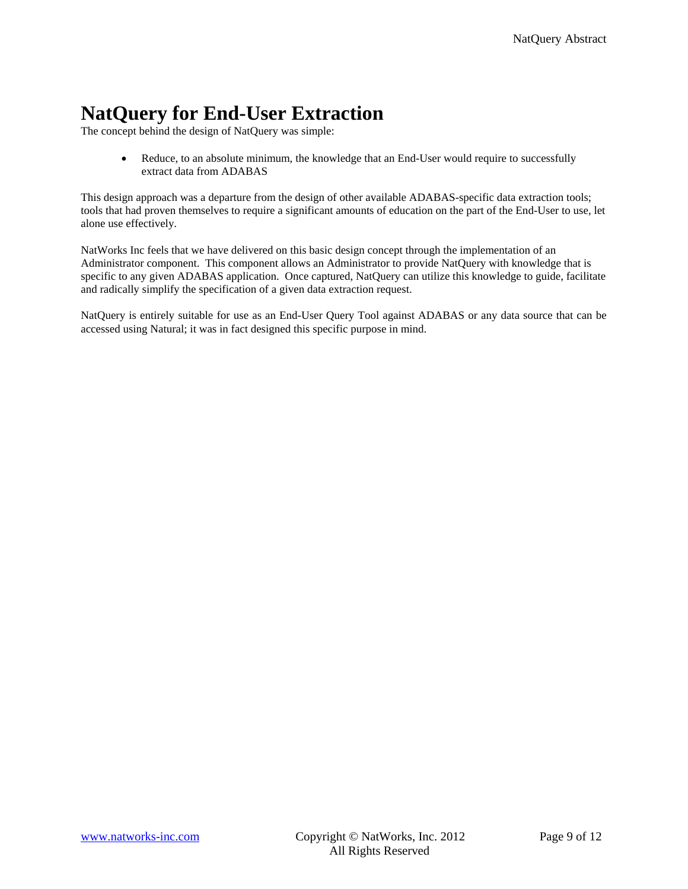# <span id="page-8-0"></span>**NatQuery for End-User Extraction**

The concept behind the design of NatQuery was simple:

• Reduce, to an absolute minimum, the knowledge that an End-User would require to successfully extract data from ADABAS

This design approach was a departure from the design of other available ADABAS-specific data extraction tools; tools that had proven themselves to require a significant amounts of education on the part of the End-User to use, let alone use effectively.

NatWorks Inc feels that we have delivered on this basic design concept through the implementation of an Administrator component. This component allows an Administrator to provide NatQuery with knowledge that is specific to any given ADABAS application. Once captured, NatQuery can utilize this knowledge to guide, facilitate and radically simplify the specification of a given data extraction request.

NatQuery is entirely suitable for use as an End-User Query Tool against ADABAS or any data source that can be accessed using Natural; it was in fact designed this specific purpose in mind.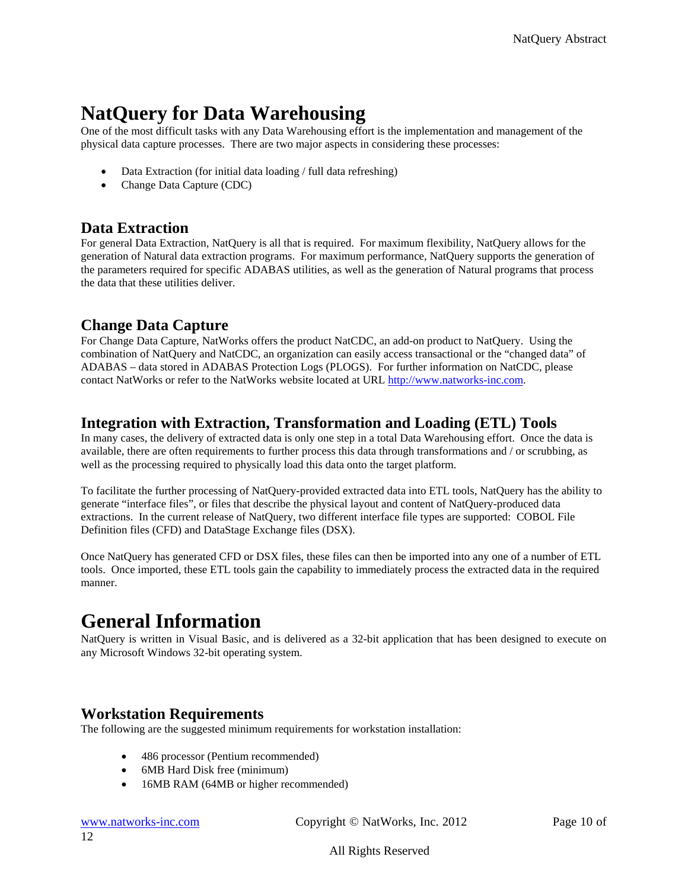# <span id="page-9-0"></span>**NatQuery for Data Warehousing**

One of the most difficult tasks with any Data Warehousing effort is the implementation and management of the physical data capture processes. There are two major aspects in considering these processes:

- Data Extraction (for initial data loading / full data refreshing)
- Change Data Capture (CDC)

# **Data Extraction**

For general Data Extraction, NatQuery is all that is required. For maximum flexibility, NatQuery allows for the generation of Natural data extraction programs. For maximum performance, NatQuery supports the generation of the parameters required for specific ADABAS utilities, as well as the generation of Natural programs that process the data that these utilities deliver.

# **Change Data Capture**

For Change Data Capture, NatWorks offers the product NatCDC, an add-on product to NatQuery. Using the combination of NatQuery and NatCDC, an organization can easily access transactional or the "changed data" of ADABAS – data stored in ADABAS Protection Logs (PLOGS). For further information on NatCDC, please contact NatWorks or refer to the NatWorks website located at URL [http://www.natworks-inc.com.](http://www.natworks-inc.com/)

# **Integration with Extraction, Transformation and Loading (ETL) Tools**

In many cases, the delivery of extracted data is only one step in a total Data Warehousing effort. Once the data is available, there are often requirements to further process this data through transformations and / or scrubbing, as well as the processing required to physically load this data onto the target platform.

To facilitate the further processing of NatQuery-provided extracted data into ETL tools, NatQuery has the ability to generate "interface files", or files that describe the physical layout and content of NatQuery-produced data extractions. In the current release of NatQuery, two different interface file types are supported: COBOL File Definition files (CFD) and DataStage Exchange files (DSX).

Once NatQuery has generated CFD or DSX files, these files can then be imported into any one of a number of ETL tools. Once imported, these ETL tools gain the capability to immediately process the extracted data in the required manner.

# **General Information**

NatQuery is written in Visual Basic, and is delivered as a 32-bit application that has been designed to execute on any Microsoft Windows 32-bit operating system.

# **Workstation Requirements**

The following are the suggested minimum requirements for workstation installation:

- 486 processor (Pentium recommended)
- 6MB Hard Disk free (minimum)
- 16MB RAM (64MB or higher recommended)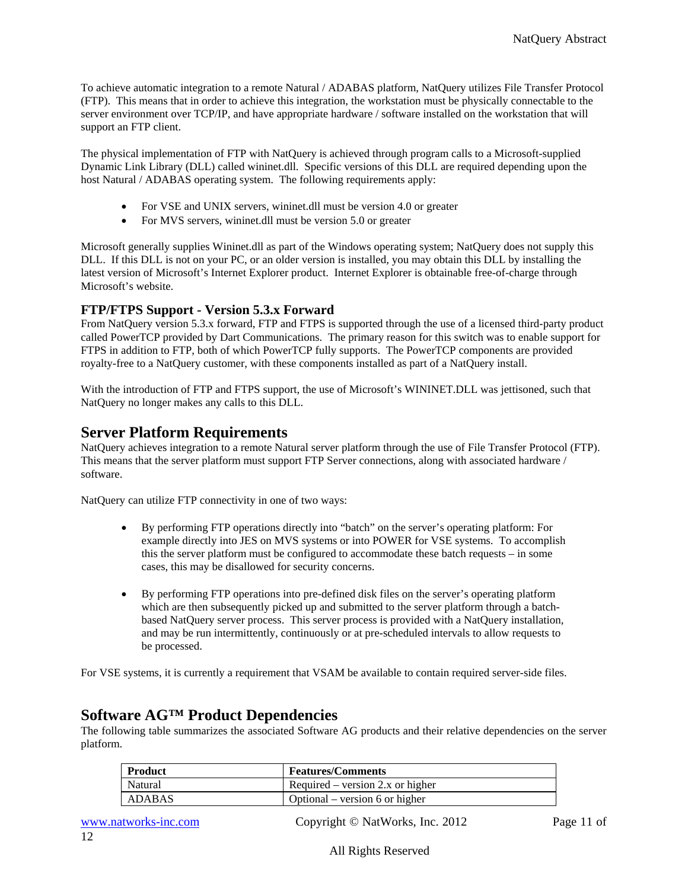<span id="page-10-0"></span>To achieve automatic integration to a remote Natural / ADABAS platform, NatQuery utilizes File Transfer Protocol (FTP). This means that in order to achieve this integration, the workstation must be physically connectable to the server environment over TCP/IP, and have appropriate hardware / software installed on the workstation that will support an FTP client.

The physical implementation of FTP with NatQuery is achieved through program calls to a Microsoft-supplied Dynamic Link Library (DLL) called wininet.dll. Specific versions of this DLL are required depending upon the host Natural / ADABAS operating system. The following requirements apply:

- For VSE and UNIX servers, wininet.dll must be version 4.0 or greater
- For MVS servers, wininet.dll must be version 5.0 or greater

Microsoft generally supplies Wininet.dll as part of the Windows operating system; NatQuery does not supply this DLL. If this DLL is not on your PC, or an older version is installed, you may obtain this DLL by installing the latest version of Microsoft's Internet Explorer product. Internet Explorer is obtainable free-of-charge through Microsoft's website.

#### **FTP/FTPS Support - Version 5.3.x Forward**

From NatQuery version 5.3.x forward, FTP and FTPS is supported through the use of a licensed third-party product called PowerTCP provided by Dart Communications. The primary reason for this switch was to enable support for FTPS in addition to FTP, both of which PowerTCP fully supports. The PowerTCP components are provided royalty-free to a NatQuery customer, with these components installed as part of a NatQuery install.

With the introduction of FTP and FTPS support, the use of Microsoft's WININET.DLL was jettisoned, such that NatQuery no longer makes any calls to this DLL.

## **Server Platform Requirements**

NatQuery achieves integration to a remote Natural server platform through the use of File Transfer Protocol (FTP). This means that the server platform must support FTP Server connections, along with associated hardware / software.

NatQuery can utilize FTP connectivity in one of two ways:

- By performing FTP operations directly into "batch" on the server's operating platform: For example directly into JES on MVS systems or into POWER for VSE systems. To accomplish this the server platform must be configured to accommodate these batch requests – in some cases, this may be disallowed for security concerns.
- By performing FTP operations into pre-defined disk files on the server's operating platform which are then subsequently picked up and submitted to the server platform through a batchbased NatQuery server process. This server process is provided with a NatQuery installation, and may be run intermittently, continuously or at pre-scheduled intervals to allow requests to be processed.

For VSE systems, it is currently a requirement that VSAM be available to contain required server-side files.

## **Software AG™ Product Dependencies**

The following table summarizes the associated Software AG products and their relative dependencies on the server platform.

| <b>Product</b> | <b>Features/Comments</b>           |
|----------------|------------------------------------|
| <b>Natural</b> | Required – version $2.x$ or higher |
| ADABAS         | Optional – version 6 or higher     |

www.natworks-inc.com Copyright © NatWorks, Inc. 2012 Page 11 of